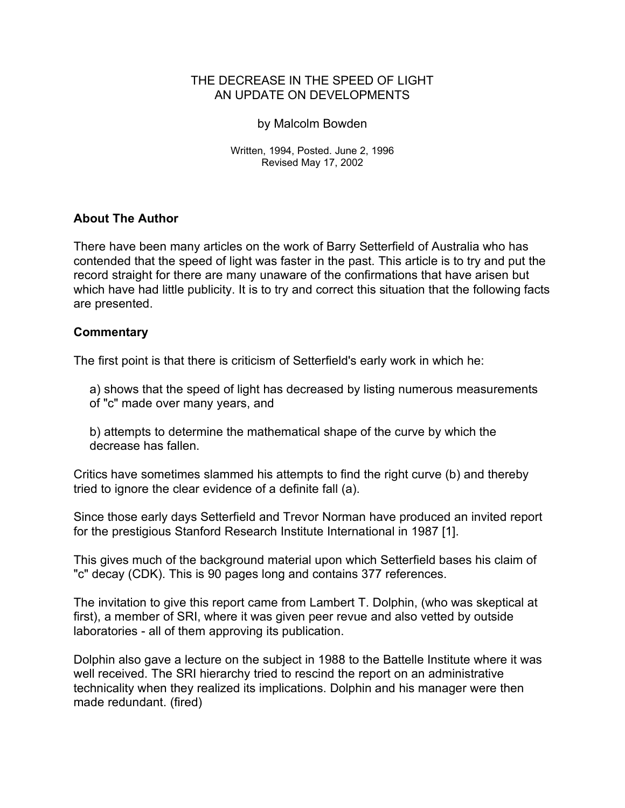## THE DECREASE IN THE SPEED OF LIGHT AN UPDATE ON DEVELOPMENTS

### by Malcolm Bowden

Written, 1994, Posted. June 2, 1996 Revised May 17, 2002

# **About The Author**

There have been many articles on the work of Barry Setterfield of Australia who has contended that the speed of light was faster in the past. This article is to try and put the record straight for there are many unaware of the confirmations that have arisen but which have had little publicity. It is to try and correct this situation that the following facts are presented.

## **Commentary**

The first point is that there is criticism of Setterfield's early work in which he:

a) shows that the speed of light has decreased by listing numerous measurements of "c" made over many years, and

b) attempts to determine the mathematical shape of the curve by which the decrease has fallen.

Critics have sometimes slammed his attempts to find the right curve (b) and thereby tried to ignore the clear evidence of a definite fall (a).

Since those early days Setterfield and Trevor Norman have produced an invited report for the prestigious Stanford Research Institute International in 1987 [1].

This gives much of the background material upon which Setterfield bases his claim of "c" decay (CDK). This is 90 pages long and contains 377 references.

The invitation to give this report came from Lambert T. Dolphin, (who was skeptical at first), a member of SRI, where it was given peer revue and also vetted by outside laboratories - all of them approving its publication.

Dolphin also gave a lecture on the subject in 1988 to the Battelle Institute where it was well received. The SRI hierarchy tried to rescind the report on an administrative technicality when they realized its implications. Dolphin and his manager were then made redundant. (fired)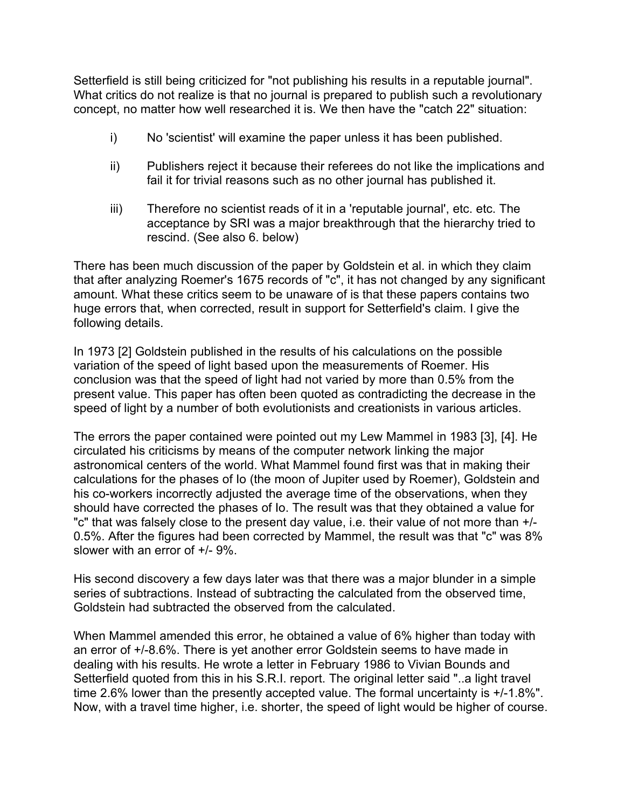Setterfield is still being criticized for "not publishing his results in a reputable journal". What critics do not realize is that no journal is prepared to publish such a revolutionary concept, no matter how well researched it is. We then have the "catch 22" situation:

- i) No 'scientist' will examine the paper unless it has been published.
- ii) Publishers reject it because their referees do not like the implications and fail it for trivial reasons such as no other journal has published it.
- iii) Therefore no scientist reads of it in a 'reputable journal', etc. etc. The acceptance by SRI was a major breakthrough that the hierarchy tried to rescind. (See also 6. below)

There has been much discussion of the paper by Goldstein et al. in which they claim that after analyzing Roemer's 1675 records of "c", it has not changed by any significant amount. What these critics seem to be unaware of is that these papers contains two huge errors that, when corrected, result in support for Setterfield's claim. I give the following details.

In 1973 [2] Goldstein published in the results of his calculations on the possible variation of the speed of light based upon the measurements of Roemer. His conclusion was that the speed of light had not varied by more than 0.5% from the present value. This paper has often been quoted as contradicting the decrease in the speed of light by a number of both evolutionists and creationists in various articles.

The errors the paper contained were pointed out my Lew Mammel in 1983 [3], [4]. He circulated his criticisms by means of the computer network linking the major astronomical centers of the world. What Mammel found first was that in making their calculations for the phases of Io (the moon of Jupiter used by Roemer), Goldstein and his co-workers incorrectly adjusted the average time of the observations, when they should have corrected the phases of Io. The result was that they obtained a value for "c" that was falsely close to the present day value, i.e. their value of not more than +/- 0.5%. After the figures had been corrected by Mammel, the result was that "c" was 8% slower with an error of +/- 9%.

His second discovery a few days later was that there was a major blunder in a simple series of subtractions. Instead of subtracting the calculated from the observed time, Goldstein had subtracted the observed from the calculated.

When Mammel amended this error, he obtained a value of 6% higher than today with an error of +/-8.6%. There is yet another error Goldstein seems to have made in dealing with his results. He wrote a letter in February 1986 to Vivian Bounds and Setterfield quoted from this in his S.R.I. report. The original letter said "..a light travel time 2.6% lower than the presently accepted value. The formal uncertainty is +/-1.8%". Now, with a travel time higher, i.e. shorter, the speed of light would be higher of course.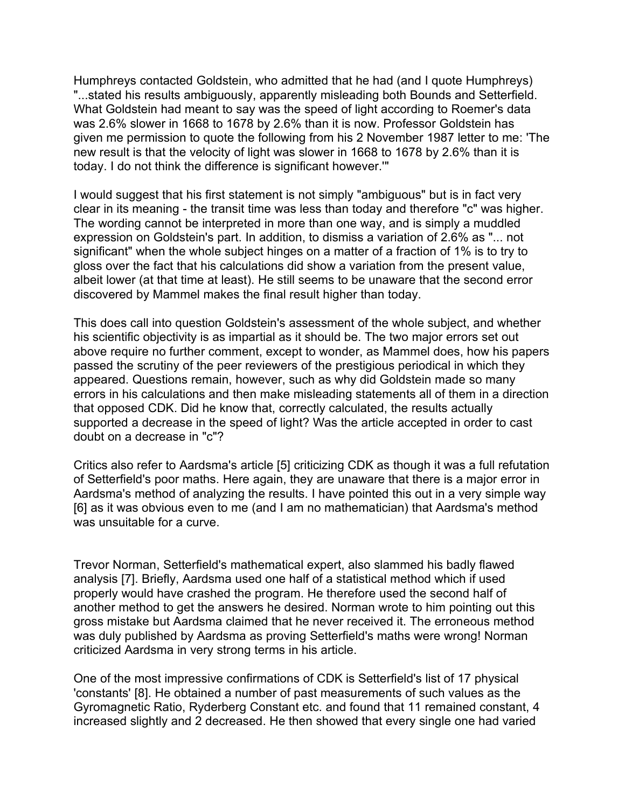Humphreys contacted Goldstein, who admitted that he had (and I quote Humphreys) "...stated his results ambiguously, apparently misleading both Bounds and Setterfield. What Goldstein had meant to say was the speed of light according to Roemer's data was 2.6% slower in 1668 to 1678 by 2.6% than it is now. Professor Goldstein has given me permission to quote the following from his 2 November 1987 letter to me: 'The new result is that the velocity of light was slower in 1668 to 1678 by 2.6% than it is today. I do not think the difference is significant however.'"

I would suggest that his first statement is not simply "ambiguous" but is in fact very clear in its meaning - the transit time was less than today and therefore "c" was higher. The wording cannot be interpreted in more than one way, and is simply a muddled expression on Goldstein's part. In addition, to dismiss a variation of 2.6% as "... not significant" when the whole subject hinges on a matter of a fraction of 1% is to try to gloss over the fact that his calculations did show a variation from the present value, albeit lower (at that time at least). He still seems to be unaware that the second error discovered by Mammel makes the final result higher than today.

This does call into question Goldstein's assessment of the whole subject, and whether his scientific objectivity is as impartial as it should be. The two major errors set out above require no further comment, except to wonder, as Mammel does, how his papers passed the scrutiny of the peer reviewers of the prestigious periodical in which they appeared. Questions remain, however, such as why did Goldstein made so many errors in his calculations and then make misleading statements all of them in a direction that opposed CDK. Did he know that, correctly calculated, the results actually supported a decrease in the speed of light? Was the article accepted in order to cast doubt on a decrease in "c"?

Critics also refer to Aardsma's article [5] criticizing CDK as though it was a full refutation of Setterfield's poor maths. Here again, they are unaware that there is a major error in Aardsma's method of analyzing the results. I have pointed this out in a very simple way [6] as it was obvious even to me (and I am no mathematician) that Aardsma's method was unsuitable for a curve.

Trevor Norman, Setterfield's mathematical expert, also slammed his badly flawed analysis [7]. Briefly, Aardsma used one half of a statistical method which if used properly would have crashed the program. He therefore used the second half of another method to get the answers he desired. Norman wrote to him pointing out this gross mistake but Aardsma claimed that he never received it. The erroneous method was duly published by Aardsma as proving Setterfield's maths were wrong! Norman criticized Aardsma in very strong terms in his article.

One of the most impressive confirmations of CDK is Setterfield's list of 17 physical 'constants' [8]. He obtained a number of past measurements of such values as the Gyromagnetic Ratio, Ryderberg Constant etc. and found that 11 remained constant, 4 increased slightly and 2 decreased. He then showed that every single one had varied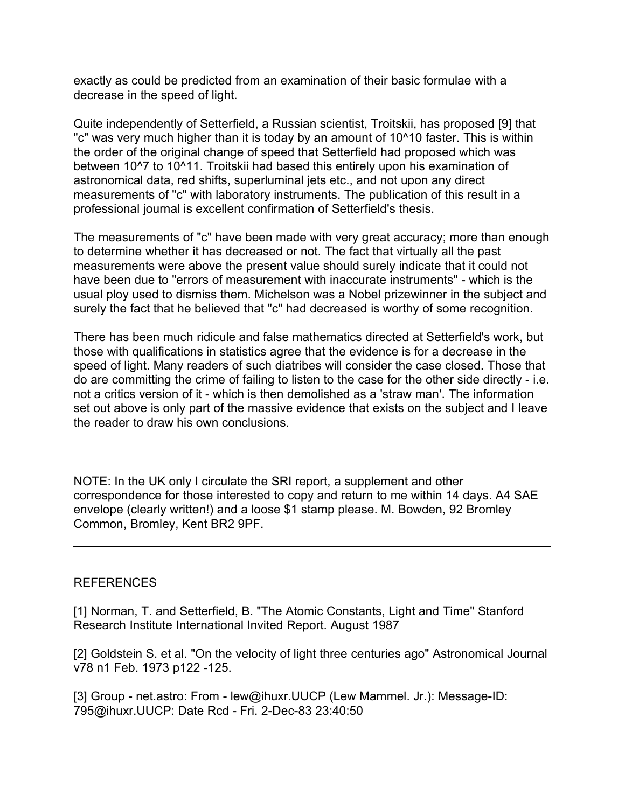exactly as could be predicted from an examination of their basic formulae with a decrease in the speed of light.

Quite independently of Setterfield, a Russian scientist, Troitskii, has proposed [9] that "c" was very much higher than it is today by an amount of 10^10 faster. This is within the order of the original change of speed that Setterfield had proposed which was between 10^7 to 10^11. Troitskii had based this entirely upon his examination of astronomical data, red shifts, superluminal jets etc., and not upon any direct measurements of "c" with laboratory instruments. The publication of this result in a professional journal is excellent confirmation of Setterfield's thesis.

The measurements of "c" have been made with very great accuracy; more than enough to determine whether it has decreased or not. The fact that virtually all the past measurements were above the present value should surely indicate that it could not have been due to "errors of measurement with inaccurate instruments" - which is the usual ploy used to dismiss them. Michelson was a Nobel prizewinner in the subject and surely the fact that he believed that "c" had decreased is worthy of some recognition.

There has been much ridicule and false mathematics directed at Setterfield's work, but those with qualifications in statistics agree that the evidence is for a decrease in the speed of light. Many readers of such diatribes will consider the case closed. Those that do are committing the crime of failing to listen to the case for the other side directly - i.e. not a critics version of it - which is then demolished as a 'straw man'. The information set out above is only part of the massive evidence that exists on the subject and I leave the reader to draw his own conclusions.

NOTE: In the UK only I circulate the SRI report, a supplement and other correspondence for those interested to copy and return to me within 14 days. A4 SAE envelope (clearly written!) and a loose \$1 stamp please. M. Bowden, 92 Bromley Common, Bromley, Kent BR2 9PF.

### REFERENCES

[1] Norman, T. and Setterfield, B. "The Atomic Constants, Light and Time" Stanford Research Institute International Invited Report. August 1987

[2] Goldstein S. et al. "On the velocity of light three centuries ago" Astronomical Journal v78 n1 Feb. 1973 p122 -125.

[3] Group - net.astro: From - lew@ihuxr.UUCP (Lew Mammel. Jr.): Message-ID: 795@ihuxr.UUCP: Date Rcd - Fri. 2-Dec-83 23:40:50